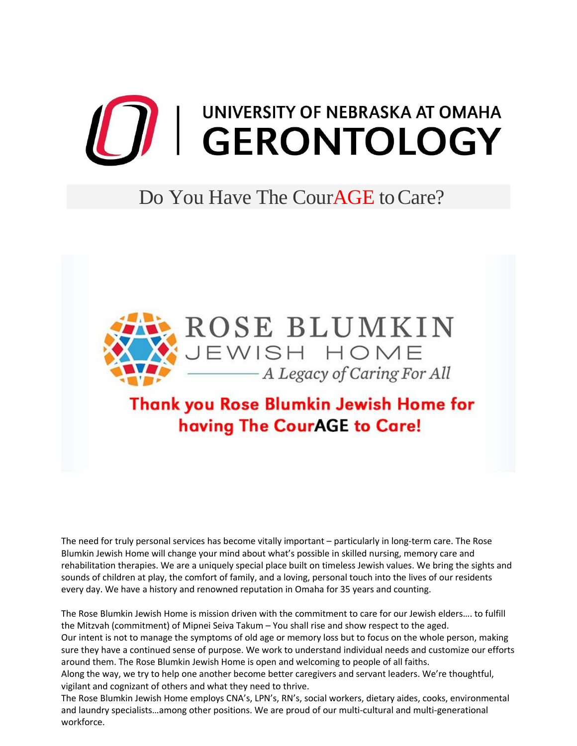## **THE SERONTOLOGY**

## Do You Have The Cour**AGE** to Care?



## Thank you Rose Blumkin Jewish Home for having The CourAGE to Care!

The need for truly personal services has become vitally important – particularly in long-term care. The Rose Blumkin Jewish Home will change your mind about what's possible in skilled nursing, memory care and rehabilitation therapies. We are a uniquely special place built on timeless Jewish values. We bring the sights and sounds of children at play, the comfort of family, and a loving, personal touch into the lives of our residents every day. We have a history and renowned reputation in Omaha for 35 years and counting.

The Rose Blumkin Jewish Home is mission driven with the commitment to care for our Jewish elders…. to fulfill the Mitzvah (commitment) of Mipnei Seiva Takum – You shall rise and show respect to the aged.

Our intent is not to manage the symptoms of old age or memory loss but to focus on the whole person, making sure they have a continued sense of purpose. We work to understand individual needs and customize our efforts around them. The Rose Blumkin Jewish Home is open and welcoming to people of all faiths.

Along the way, we try to help one another become better caregivers and servant leaders. We're thoughtful, vigilant and cognizant of others and what they need to thrive.

The Rose Blumkin Jewish Home employs CNA's, LPN's, RN's, social workers, dietary aides, cooks, environmental and laundry specialists…among other positions. We are proud of our multi-cultural and multi-generational workforce.